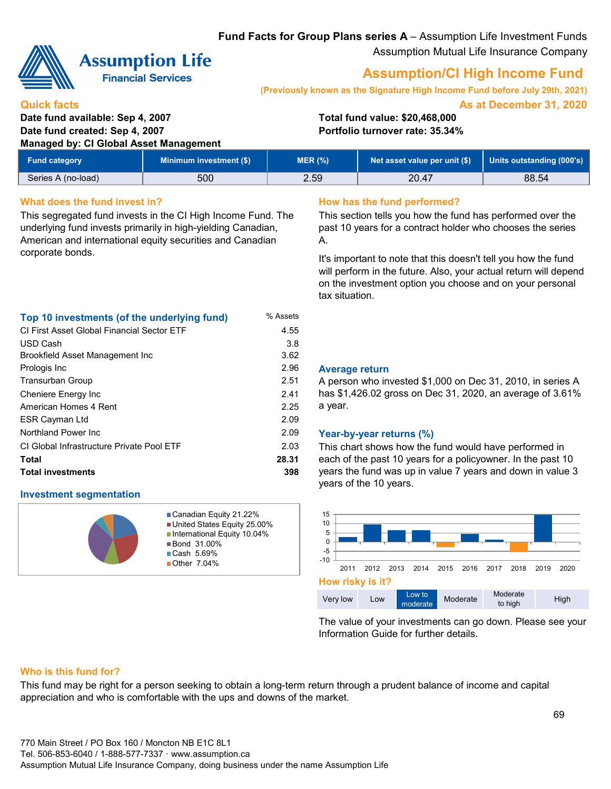**Fund Facts for Group Plans series A** – Assumption Life Investment Funds Assumption Mutual Life Insurance Company



# **Assumption Life**

**Financial Services** 

# **Assumption/CI High Income Fund**

**(Previously known as the Signature High Income Fund before July 29th, 2021)**

**As at December 31, 2020**

#### **Quick facts Date fund available: Sep 4, 2007 Total fund value: \$20,468,000 Date fund created: Sep 4, 2007 Portfolio turnover rate: 35.34% Managed by: CI Global Asset Management**

| <b>Fund category</b> | Minimum investment (\$) | <b>MER (%)</b> | Net asset value per unit (\$) | Units outstanding (000's) |
|----------------------|-------------------------|----------------|-------------------------------|---------------------------|
| Series A (no-load)   | 500                     | 2.59           | 20.47                         | 88.54                     |

### **What does the fund invest in? How has the fund performed?**

This segregated fund invests in the CI High Income Fund. The underlying fund invests primarily in high-yielding Canadian, American and international equity securities and Canadian corporate bonds.

This section tells you how the fund has performed over the past 10 years for a contract holder who chooses the series A.

It's important to note that this doesn't tell you how the fund will perform in the future. Also, your actual return will depend on the investment option you choose and on your personal tax situation.

|  | Top 10 investments (of the underlying fund) | % Assets |
|--|---------------------------------------------|----------|
|--|---------------------------------------------|----------|

| <b>CI First Asset Global Financial Sector ETF</b> | 4.55  |
|---------------------------------------------------|-------|
| USD Cash                                          | 3.8   |
| Brookfield Asset Management Inc                   | 3.62  |
| Prologis Inc                                      | 2.96  |
| Transurban Group                                  | 2.51  |
| Cheniere Energy Inc                               | 2.41  |
| American Homes 4 Rent                             | 2.25  |
| <b>ESR Cayman Ltd</b>                             | 2.09  |
| Northland Power Inc.                              | 2.09  |
| CI Global Infrastructure Private Pool ETF         | 2.03  |
| Total                                             | 28.31 |
| <b>Total investments</b>                          | 398   |

### **Investment segmentation**



Canadian Equity 21.22% United States Equity 25.00% ■International Equity 10.04% ■Bond 31.00% Cash 5.69% ■ Other 7.04%

#### 2.96 **Average return**

A person who invested \$1,000 on Dec 31, 2010, in series A has \$1,426.02 gross on Dec 31, 2020, an average of 3.61% a year.

### 2.09 **Year-by-year returns (%)**

This chart shows how the fund would have performed in each of the past 10 years for a policyowner. In the past 10 years the fund was up in value 7 years and down in value 3 years of the 10 years.



The value of your investments can go down. Please see your Information Guide for further details.

### **Who is this fund for?**

This fund may be right for a person seeking to obtain a long-term return through a prudent balance of income and capital appreciation and who is comfortable with the ups and downs of the market.